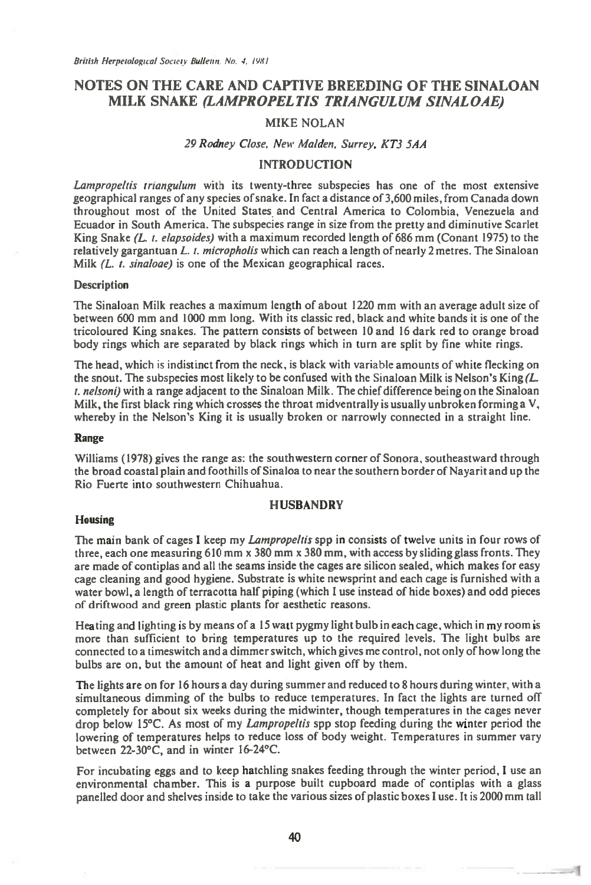# **NOTES ON THE CARE AND CAPTIVE BREEDING OF THE SINALOAN MILK SNAKE** *(LAMPROPELTIS TRIANGULUM SINALOAE)*

#### MIKE NOLAN

### 29 Rodney Close. New Malden. Surrey. KT3 5AA

### **INTRODUCTION**

Lampropeltis triangulum with its twenty-three subspecies has one of the most extensive geographical ranges of any species of snake. In fact a distance of 3,600 miles, from Canada down throughout most of the United States and Central America to Colombia, Venezuela and Ecuador in South America. The subspecies range in size from the pretty and diminutive Scarlet King Snake (L, t. elapsoides) with a maximum recorded length of 686 mm (Conant 1975) to the relatively gargantuan L. t. micropholis which can reach a length of nearly 2 metres. The Sinaloan Milk (L. t. sinaloae) is one of the Mexican geographical races.

#### **Description**

The Sinaloan Milk reaches a maximum length of about 1220 mm with an average adult size of between 600 mm and 1000 mm long. With its classic red, black and white bands it is one of the tricoloured King snakes. The pattern consists of between 10 and 16 dark red to orange broad body rings which are separated by black rings which in turn are split by fine white rings.

The head, which is indistinct from the neck, is black with variable amounts of white flecking on the snout. The subspecies most likely to be confused with the Sinaloan Milk is Nelson's King  $/L$ .  $t$ . nelsoni) with a range adjacent to the Sinaloan Milk. The chief difference being on the Sinaloan Milk, the first black ring which crosses the throat midventrally is usually unbroken forming a  $V$ , whereby in the Nelson's King it is usually broken or narrowly connected in a straight line.

#### **Range**

Williams (1978) gives the range as: the southwestern corner of Sonora, southeastward through the broad coastal plain and foothills of Sinaloa to near the southern border of Nayarit and up the Rio Fuerte into southwestern Chihuahua.

## **HUSBANDRY**

#### **Housing**

The main bank of cages I keep my *Lampropeltis* spp in consists of twelve units in four rows of three, each one measuring 610 mm x 380 mm x 380 mm, with access by sliding glass fronts. They are made of contiplas and all the seams inside the cages are silicon sealed, which makes for easy cage cleaning and good hygiene. Substrate is white newsprint and each cage is furnished with a water bowl, a length of terracotta half piping (which I use instead of hide boxes) and odd pieces of driftwood and green plastic plants for aesthetic reasons.

Heating and lighting is by means of a 15 watt pygmy light bulb in each cage, which in my room is more than sufficient to bring temperatures up to the required levels. The light bulbs are connected to a timeswitch and a dimmer switch, which gives me control, not only of how long the bulbs are on, but the amount of heat and light given off by them.

The lights are on for 16 hours a day during summer and reduced to 8 hours during winter, with a simultaneous dimming of the bulbs to reduce temperatures. In fact the lights are turned off completely for about six weeks during the midwinter, though temperatures in the cages never drop below 15°C. As most of my Lampropeltis spp stop feeding during the winter period the lowering of temperatures helps to reduce loss of body weight. Temperatures in summer vary between 22-30°C, and in winter 16-24°C.

For incubating eggs and to keep hatchling snakes feeding through the winter period, I use an environmental chamber. This is a purpose built cupboard made of contiplas with a glass panelled door and shelves inside to take the various sizes of plastic boxes I use. It is 2000 mm tall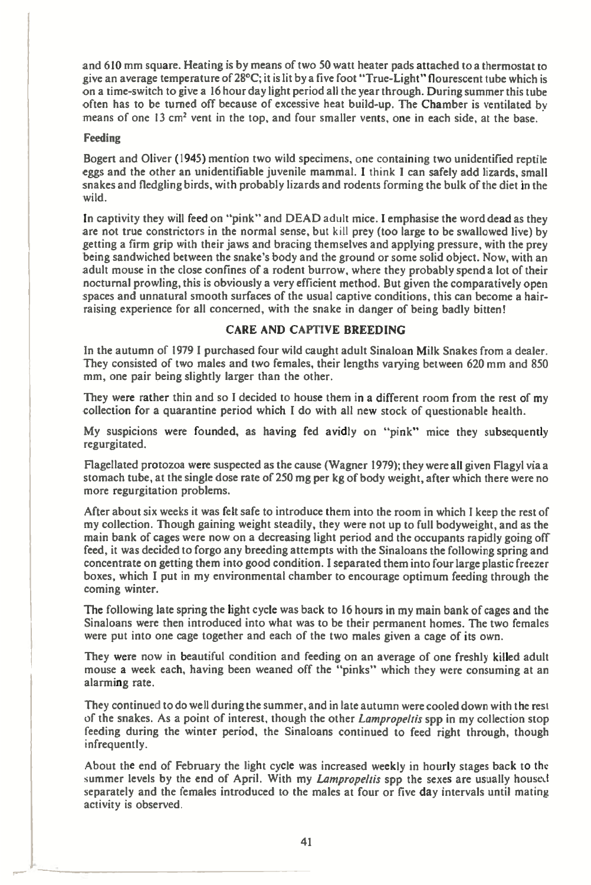and 610 mm square. Heating is by means of two 50 watt heater pads attached to a thermostat to give an average temperature of 28°C; it is lit by a five foot "True-Light" flourescent tube which is on a time-switch to give a 16 hour day light period all the year through. During summer this tube often has to be turned off because of excessive heat build-up. The Chamber is ventilated by means of one 13 cm' vent in the top, and four smaller vents, one in each side, at the base.

### Feeding

Bogert and Oliver (1945) mention two wild specimens, one containing two unidentified reptile eggs and the other an unidentifiable juvenile mammal. I think I can safely add lizards, small snakes and fledgling birds, with probably lizards and rodents forming the bulk of the diet in the wild.

In captivity they will feed on "pink" and DEAD adult mice. I emphasise the word dead as they are not true constrictors in the normal sense, but kill prey (too large to be swallowed live) by getting a firm grip with their jaws and bracing themselves and applying pressure, with the prey being sandwiched between the snake's body and the ground or some solid object. Now, with an adult mouse in the close confines of a rodent burrow, where they probably spend a lot of their nocturnal prowling, this is obviously a very efficient method. But given the comparatively open spaces and unnatural smooth surfaces of the usual captive conditions, this can become a hairraising experience for all concerned, with the snake in danger of being badly bitten!

# CARE AND CAPTIVE BREEDING

In the autumn of 1979 I purchased four wild caught adult Sinaloan Milk Snakes from a dealer. They consisted of two males and two females, their lengths varying between 620 mm and 850 mm, one pair being slightly larger than the other.

They were rather thin and so I decided to house them in a different room from the rest of my collection for a quarantine period which I do with all new stock of questionable health.

My suspicions were founded, as having fed avidly on "pink" mice they subsequently regurgitated.

Flagellated protozoa were suspected as the cause (Wagner 1979); they were all given Flagyl via a stomach tube, at the single dose rate of 250 mg per kg of body weight, after which there were no more regurgitation problems.

After about six weeks it was felt safe to introduce them into the room in which I keep the rest of my collection. Though gaining weight steadily, they were not up to full bodyweight, and as the main bank of cages were now on a decreasing light period and the occupants rapidly going off feed, it was decided to forgo any breeding attempts with the Sinaloans the following spring and concentrate on getting them into good condition. I separated them into four large plastic freezer boxes, which I put in my environmental chamber to encourage optimum feeding through the coming winter.

The following late spring the light cycle was back to 16 hours in my main bank of cages and the Sinaloans were then introduced into what was to be their permanent homes. The two females were put into one cage together and each of the two males given a cage of its own.

They were now in beautiful condition and feeding on an average of one freshly killed adult mouse a week each, having been weaned off the "pinks" which they were consuming at an alarming rate.

They continued to do well during the summer, and in late autumn were cooled down with the rest of the snakes. As a point of interest, though the other *Lampropeltis* spp in my collection stop feeding during the winter period, the Sinaloans continued to feed right through, though infrequently.

About the end of February the light cycle was increased weekly in hourly stages back to the summer levels by the end of April. With my *Lampropeltis* spp the sexes are usually housed separately and the females introduced to the males at four or five day intervals until mating activity is observed.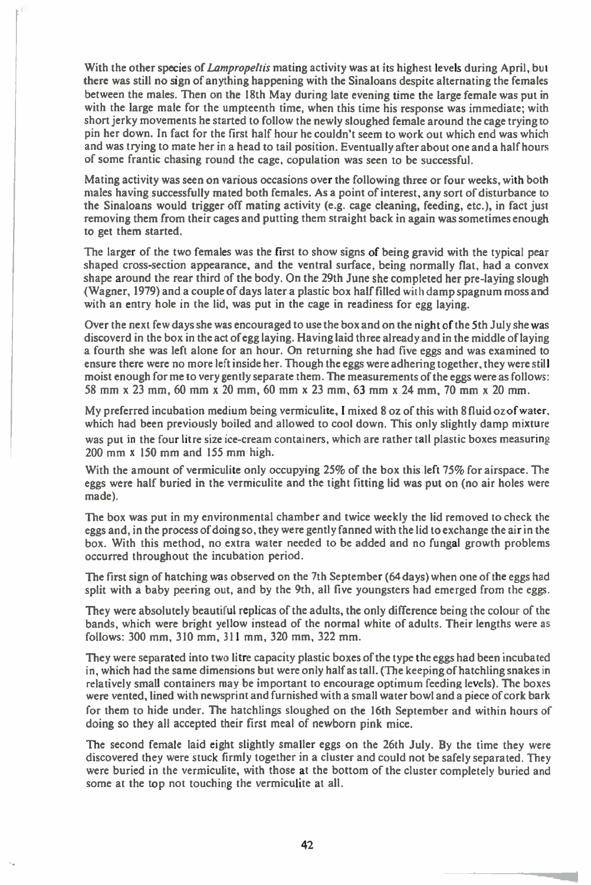**With the other species of** *Lampropehis mating* **activity was at its highest levels during April, but there was still no sign of anything happening with the Sinaloans despite alternating the females between the males. Then on the 18th May during late evening time the large female was put in with the large male for the umpteenth time, when this time his response was immediate; with short jerky movements he started to follow the newly sloughed female around the cage trying to pin her down. In fact for the first half hour he couldn't seem to work out which end was which and was trying to mate her in a head to tail position. Eventually after about one and a half hours of some frantic chasing round the cage, copulation was seen to be successful.** 

**Mating activity was seen on various occasions over the following three or four weeks, with both males having successfully mated both females. As a point of interest, any sort of disturbance to the Sinaloans would trigger off mating activity (e.g. cage cleaning, feeding, etc.), in fact just removing them from their cages and putting them straight back in again was sometimes enough to get them started.** 

**The larger of the two females was the first to show signs of being gravid with the typical pear shaped cross-section appearance, and the ventral surface, being normally flat, had a convex shape around the rear third of the body. On the 29th June she completed her pre-laying slough (Wagner, 1979) and a couple of days later a plastic box half filled with damp spagnum moss and with an entry hole in the lid, was put in the cage in readiness for egg laying.** 

**Over the next few days she was encouraged to use the box and on the night of the 5th July she was discoverd in the box in the act of egg laying. Having laid three already and in the middle of laying a fourth she was left alone for an hour. On returning she had five eggs and was examined to ensure there were no more left inside her. Though the eggs were adhering together, they were still moist enough for me to very gently separate them. The measurements of the eggs were as follows: 58 mm x 23 mm, 60 mm x 20 mm, 60 mm x 23 mm, 63 mm x 24 mm, 70 mm x 20 mm.** 

**My preferred incubation medium being vermiculite, I mixed 8 oz of this with 8 fluid oz of water, which had been previously boiled and allowed to cool down. This only slightly damp mixture was put in the four litre size ice-cream containers, which are rather tall plastic boxes measuring 200 mm x 150 mm and 155 mm high.** 

**With the amount of vermiculite only occupying 25% of the box this left 75% for airspace. The eggs were half buried in the vermiculite and the tight fitting lid was put on (no air holes were made).** 

**The box was put in my environmental chamber and twice weekly the lid removed to check the eggs and, in the process of doing so, they were gently fanned with the lid to exchange the air in the box. With this method, no extra water needed to be added and no fungal growth problems occurred throughout the incubation period.** 

**The first sign of hatching was observed on the 7th September (64 days) when one of the eggs had split with a baby peering out, and by the 9th, all** *five* **youngsters had emerged from the eggs.** 

**They were absolutely beautiful replicas of the adults, the only difference being the colour of the bands, which were bright yellow instead of the normal white of adults. Their lengths were as follows: 300 mm, 310 mm, 311 mm, 320 mm, 322 mm.** 

**They were separated into two litre capacity plastic boxes of the type the eggs had been incubated in, which had the same dimensions but were only half as tall. (The keeping of hatchling snakes in relatively small containers may be important to encourage optimum feeding levels). The boxes were vented, lined with newsprint and furnished with a small water bowl and a piece of cork bark for them to hide under. The hatchlings sloughed on the 16th September and within hours of doing so they all accepted their first meal of newborn pink mice.** 

**The second female laid eight slightly smaller eggs on the 26th July. By the time they were discovered they were stuck firmly together in a cluster and could not be safely separated. They were buried in the vermiculite, with those at the bottom of the cluster completely buried and some at the top not touching the vermiculite at all.**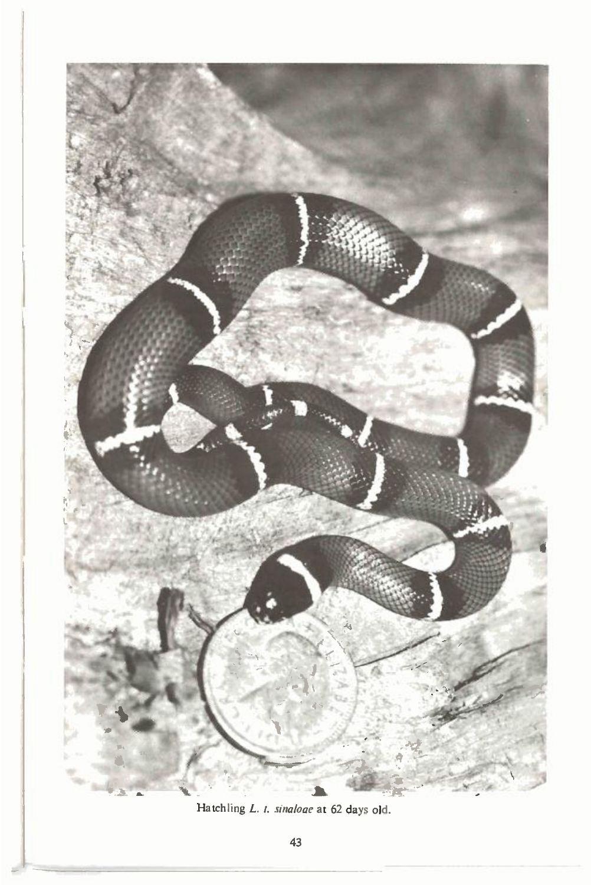

Hatchling L. t. sinaloge at 62 days old.